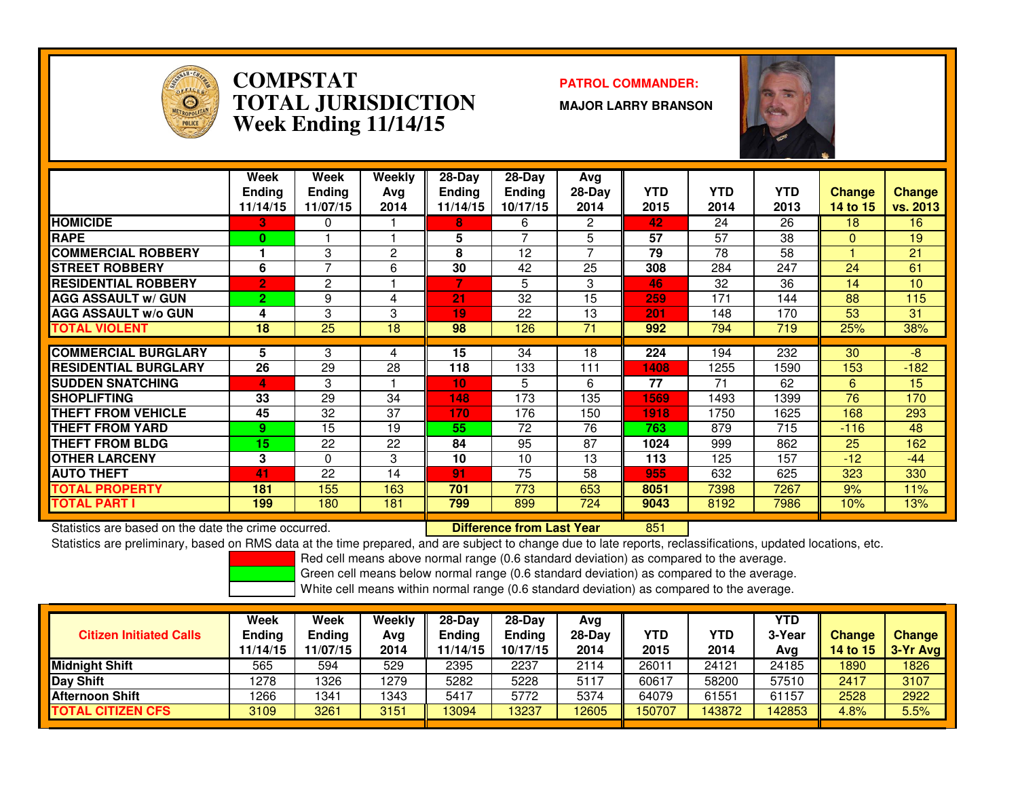

### **COMPSTAT PATROL COMMANDER: TOTAL JURISDICTIONWeek Ending 11/14/15**

**MAJOR LARRY BRANSON**



|                             | Week<br><b>Ending</b><br>11/14/15 | Week<br><b>Ending</b><br>11/07/15 | Weekly<br>Ava<br>2014 | $28-Day$<br><b>Ending</b><br>11/14/15 | $28$ -Day<br><b>Ending</b><br>10/17/15 | Avg<br>$28-Day$<br>2014 | <b>YTD</b><br>2015 | <b>YTD</b><br>2014 | <b>YTD</b><br>2013 | <b>Change</b><br>14 to 15 | <b>Change</b><br>vs. 2013 |
|-----------------------------|-----------------------------------|-----------------------------------|-----------------------|---------------------------------------|----------------------------------------|-------------------------|--------------------|--------------------|--------------------|---------------------------|---------------------------|
| <b>HOMICIDE</b>             | 3.                                | 0                                 |                       | 8                                     | 6                                      | 2                       | 42                 | 24                 | 26                 | 18                        | 16                        |
| <b>RAPE</b>                 | $\mathbf{0}$                      |                                   |                       | 5                                     |                                        | 5                       | 57                 | 57                 | 38                 | $\Omega$                  | 19                        |
| <b>COMMERCIAL ROBBERY</b>   |                                   | 3                                 | 2                     | 8                                     | 12                                     | 7                       | 79                 | 78                 | 58                 |                           | 21                        |
| <b>STREET ROBBERY</b>       | 6                                 | 7                                 | 6                     | 30                                    | 42                                     | 25                      | 308                | 284                | 247                | 24                        | 61                        |
| <b>RESIDENTIAL ROBBERY</b>  | $\overline{2}$                    | 2                                 |                       | 7                                     | 5                                      | 3                       | 46                 | 32                 | 36                 | 14                        | 10                        |
| <b>AGG ASSAULT w/ GUN</b>   | $\overline{2}$                    | 9                                 | 4                     | $\overline{21}$                       | 32                                     | 15                      | 259                | 171                | 144                | 88                        | 115                       |
| <b>AGG ASSAULT w/o GUN</b>  | 4                                 | 3                                 | 3                     | 19                                    | 22                                     | 13                      | 201                | 148                | 170                | 53                        | 31                        |
| <b>TOTAL VIOLENT</b>        | 18                                | 25                                | 18                    | 98                                    | 126                                    | 71                      | 992                | 794                | 719                | 25%                       | 38%                       |
|                             |                                   |                                   |                       |                                       |                                        |                         |                    |                    |                    |                           |                           |
| <b>COMMERCIAL BURGLARY</b>  | 5.                                | 3                                 | 4                     | 15                                    | 34                                     | 18                      | 224                | 194                | 232                | 30                        | -8                        |
| <b>RESIDENTIAL BURGLARY</b> | 26                                | 29                                | 28                    | 118                                   | 133                                    | 111                     | 1408               | 1255               | 1590               | 153                       | $-182$                    |
| <b>ISUDDEN SNATCHING</b>    | 4                                 | 3                                 |                       | 10                                    | 5                                      | 6                       | 77                 | 71                 | 62                 | 6                         | 15                        |
| <b>SHOPLIFTING</b>          | 33                                | 29                                | 34                    | 148                                   | 173                                    | 135                     | 1569               | 1493               | 1399               | 76                        | 170                       |
| <b>THEFT FROM VEHICLE</b>   | 45                                | 32                                | 37                    | 170                                   | 176                                    | 150                     | 1918               | 1750               | 1625               | 168                       | 293                       |
| <b>THEFT FROM YARD</b>      | 9.                                | 15                                | 19                    | 55                                    | 72                                     | 76                      | 763                | 879                | 715                | $-116$                    | 48                        |
| <b>THEFT FROM BLDG</b>      | 15                                | 22                                | 22                    | 84                                    | 95                                     | 87                      | 1024               | 999                | 862                | 25                        | 162                       |
| <b>OTHER LARCENY</b>        | 3                                 | $\Omega$                          | 3                     | 10                                    | 10                                     | 13                      | 113                | 125                | 157                | $-12$                     | $-44$                     |
| <b>AUTO THEFT</b>           | 41                                | 22                                | 14                    | 91                                    | 75                                     | 58                      | 955                | 632                | 625                | 323                       | 330                       |
| <b>TOTAL PROPERTY</b>       | 181                               | 155                               | 163                   | 701                                   | 773                                    | 653                     | 8051               | 7398               | 7267               | 9%                        | 11%                       |
| <b>TOTAL PART I</b>         | 199                               | 180                               | 181                   | 799                                   | 899                                    | 724                     | 9043               | 8192               | 7986               | 10%                       | 13%                       |

Statistics are based on the date the crime occurred. **Difference from Last Year** 

Statistics are based on the date the crime occurred. **Interpree the Statistic Liberary Conducts are to a tenso**<br>Statistics are preliminary, based on RMS data at the time prepared, and are subject to change due to late repo

Red cell means above normal range (0.6 standard deviation) as compared to the average.

Green cell means below normal range (0.6 standard deviation) as compared to the average.

| <b>Citizen Initiated Calls</b> | Week<br><b>Ending</b><br>11/14/15 | Week<br><b>Ending</b><br>11/07/15 | Weekly<br>Avg<br>2014 | $28-Dav$<br><b>Ending</b><br>11/14/15 | $28-Day$<br><b>Ending</b><br>10/17/15 | Avg<br>$28-Day$<br>2014 | YTD<br>2015 | YTD<br>2014 | <b>YTD</b><br>3-Year<br>Avg | Change<br>14 to $15$ | <b>Change</b><br>$3-Yr$ Avg |
|--------------------------------|-----------------------------------|-----------------------------------|-----------------------|---------------------------------------|---------------------------------------|-------------------------|-------------|-------------|-----------------------------|----------------------|-----------------------------|
| <b>Midnight Shift</b>          | 565                               | 594                               | 529                   | 2395                                  | 2237                                  | 2114                    | 26011       | 24121       | 24185                       | 1890                 | 1826                        |
| Day Shift                      | 1278                              | 326                               | 1279                  | 5282                                  | 5228                                  | 5117                    | 60617       | 58200       | 57510                       | 2417                 | 3107                        |
| <b>Afternoon Shift</b>         | 1266                              | 1341                              | 1343                  | 5417                                  | 5772                                  | 5374                    | 64079       | 61551       | 61157                       | 2528                 | 2922                        |
| <b>TOTAL CITIZEN CFS</b>       | 3109                              | 3261                              | 3151                  | 13094                                 | 3237                                  | 12605                   | 150707      | 143872      | 42853                       | 4.8%                 | 5.5%                        |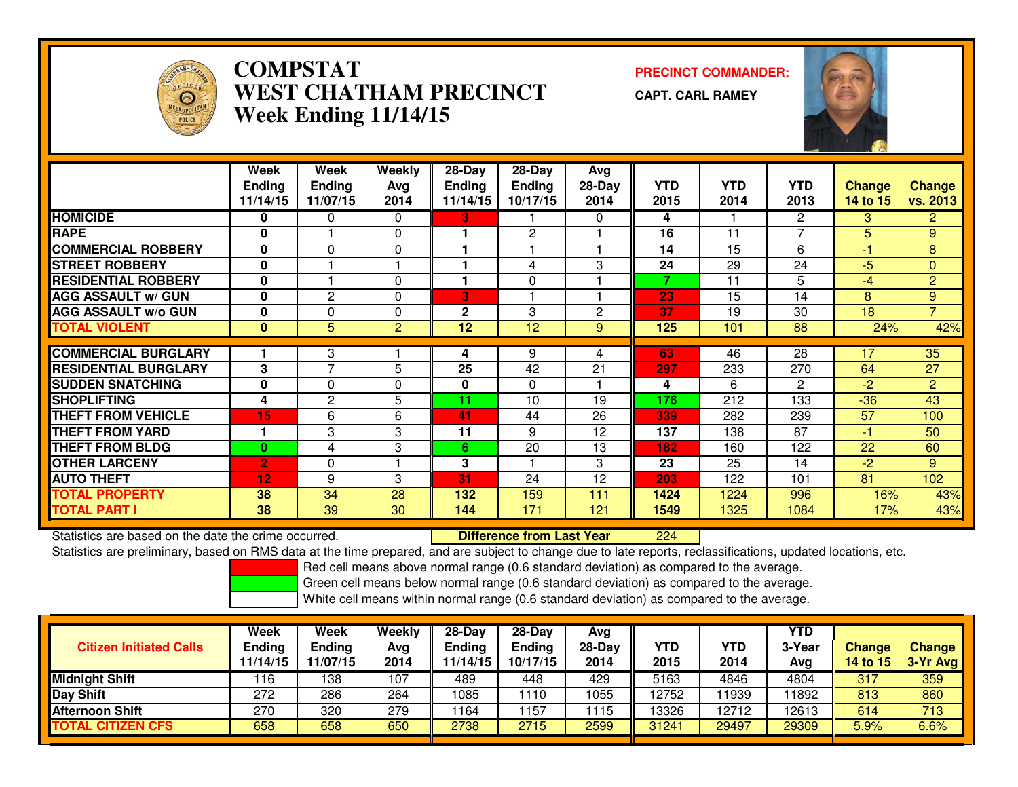

## **COMPSTAT PRECINCT COMMANDER: WEST CHATHAM PRECINCTWeek Ending 11/14/15**

**CAPT. CARL RAMEY**



|                             | Week           | Week            | <b>Weekly</b> | $28-Day$      | 28-Day       | Avg      |      |            |                |          |                 |
|-----------------------------|----------------|-----------------|---------------|---------------|--------------|----------|------|------------|----------------|----------|-----------------|
|                             | <b>Ending</b>  | <b>Ending</b>   | Avg           | <b>Ending</b> | Ending       | $28-Day$ | YTD. | <b>YTD</b> | YTD.           | Change   | <b>Change</b>   |
|                             | 11/14/15       | 11/07/15        | 2014          | 11/14/15      | 10/17/15     | 2014     | 2015 | 2014       | 2013           | 14 to 15 | <b>vs. 2013</b> |
| <b>HOMICIDE</b>             | 0              | 0               | $\Omega$      | 3.            |              | 0        | 4    |            | $\mathbf{2}$   | 3        | 2 <sup>1</sup>  |
| <b>RAPE</b>                 | 0              |                 | $\Omega$      |               | $\mathbf{2}$ |          | 16   | 11         | $\overline{ }$ | 5        | 9               |
| <b>COMMERCIAL ROBBERY</b>   | 0              | $\Omega$        | $\Omega$      |               |              |          | 14   | 15         | 6              | $-1$     | 8               |
| <b>STREET ROBBERY</b>       | 0              |                 |               |               | 4            | 3        | 24   | 29         | 24             | $-5$     | $\mathbf{0}$    |
| <b>RESIDENTIAL ROBBERY</b>  | 0              |                 | $\Omega$      | 1             | $\Omega$     |          | 7    | 11         | 5              | $-4$     | $\overline{2}$  |
| <b>AGG ASSAULT w/ GUN</b>   | 0              | $\overline{c}$  | $\Omega$      | 3             |              |          | 23   | 15         | 14             | 8        | 9               |
| <b>AGG ASSAULT w/o GUN</b>  | 0              | 0               | $\Omega$      | $\mathbf 2$   | 3            | 2        | 37   | 19         | 30             | 18       | $\overline{7}$  |
| <b>TOTAL VIOLENT</b>        | $\mathbf{0}$   | 5               | 2             | 12            | 12           | 9        | 125  | 101        | 88             | 24%      | 42%             |
|                             |                |                 |               |               |              |          |      |            |                |          |                 |
| <b>COMMERCIAL BURGLARY</b>  |                | 3               |               | 4             | 9            | 4        | 63   | 46         | 28             | 17       | 35              |
| <b>RESIDENTIAL BURGLARY</b> | 3              | $\overline{7}$  | 5             | 25            | 42           | 21       | 297  | 233        | 270            | 64       | 27              |
| <b>SUDDEN SNATCHING</b>     | 0              | $\Omega$        | $\Omega$      | 0             | $\Omega$     |          | 4    | 6          | $\mathbf{2}$   | $-2$     | $\overline{2}$  |
| <b>SHOPLIFTING</b>          | 4              | $\overline{c}$  | 5             | 11            | 10           | 19       | 176  | 212        | 133            | $-36$    | 43              |
| <b>THEFT FROM VEHICLE</b>   | 15             | 6               | 6             | 41            | 44           | 26       | 339  | 282        | 239            | 57       | 100             |
| <b>THEFT FROM YARD</b>      |                | 3               | 3             | 11            | 9            | 12       | 137  | 138        | 87             | $-1$     | 50              |
| <b>THEFT FROM BLDG</b>      | $\bf{0}$       | 4               | 3             | 6.            | 20           | 13       | 182  | 160        | 122            | 22       | 60              |
| <b>OTHER LARCENY</b>        | $\overline{2}$ | $\Omega$        |               | 3             |              | 3        | 23   | 25         | 14             | $-2$     | 9               |
| <b>AUTO THEFT</b>           | 12             | 9               | 3             | 31            | 24           | 12       | 203  | 122        | 101            | 81       | 102             |
| <b>TOTAL PROPERTY</b>       | 38             | 34              | 28            | 132           | 159          | 111      | 1424 | 1224       | 996            | 16%      | 43%             |
| <b>TOTAL PART I</b>         | 38             | $\overline{39}$ | 30            | 144           | 171          | 121      | 1549 | 1325       | 1084           | 17%      | 43%             |

Statistics are based on the date the crime occurred. **Difference from Last Year**  <sup>224</sup>Statistics are preliminary, based on RMS data at the time prepared, and are subject to change due to late reports, reclassifications, updated locations, etc.

Red cell means above normal range (0.6 standard deviation) as compared to the average.

Green cell means below normal range (0.6 standard deviation) as compared to the average.

| <b>Citizen Initiated Calls</b> | Week<br><b>Ending</b><br>11/14/15 | Week<br><b>Ending</b><br>11/07/15 | Weekly<br>Avg<br>2014 | $28-Dav$<br>Ending<br>11/14/15 | 28-Day<br><b>Ending</b><br>10/17/15 | Avg<br>$28-Day$<br>2014 | <b>YTD</b><br>2015 | YTD<br>2014 | YTD<br>3-Year<br>Avg | <b>Change</b><br>14 to 15 | <b>Change</b><br>3-Yr Avg |
|--------------------------------|-----------------------------------|-----------------------------------|-----------------------|--------------------------------|-------------------------------------|-------------------------|--------------------|-------------|----------------------|---------------------------|---------------------------|
| <b>Midnight Shift</b>          | 116                               | 138                               | 107                   | 489                            | 448                                 | 429                     | 5163               | 4846        | 4804                 | 317                       | 359                       |
| Day Shift                      | 272                               | 286                               | 264                   | 1085                           | 110                                 | 1055                    | 12752              | 1939        | 11892                | 813                       | 860                       |
| <b>Afternoon Shift</b>         | 270                               | 320                               | 279                   | 164                            | 157ء                                | 1115                    | 13326              | 12712       | 12613                | 614                       | 713                       |
| <b>TOTAL CITIZEN CFS</b>       | 658                               | 658                               | 650                   | 2738                           | 2715                                | 2599                    | 31241              | 29497       | 29309                | 5.9%                      | 6.6%                      |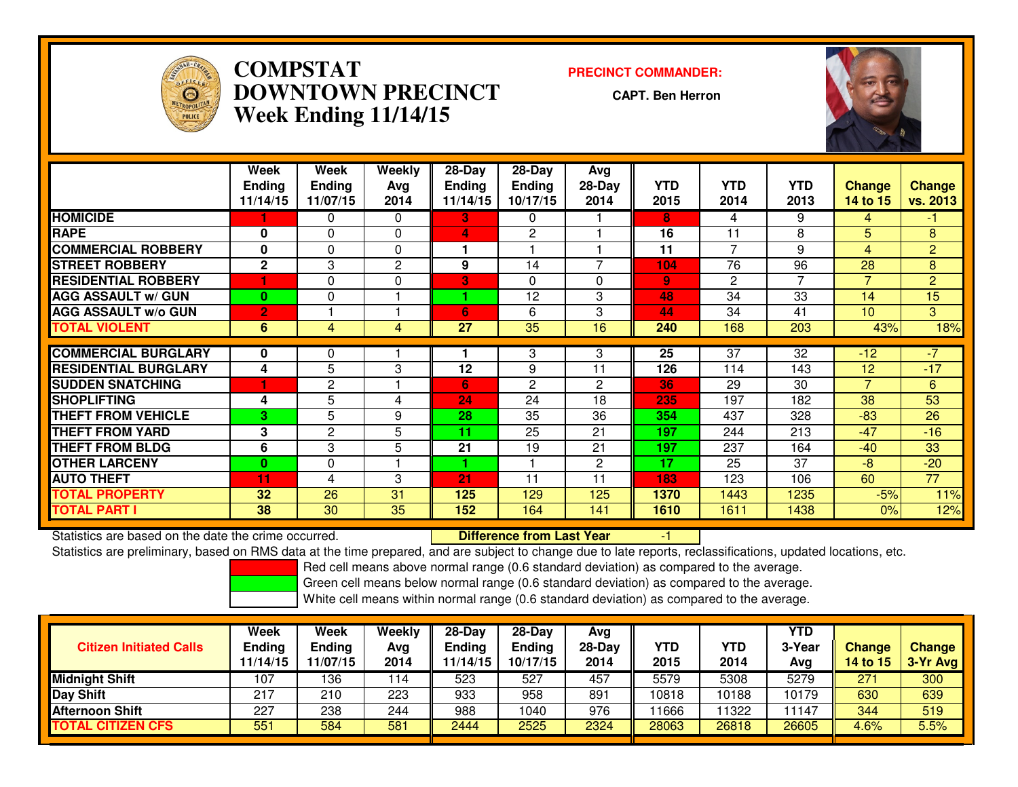

## **COMPSTAT PRECINCT COMMANDER: DOWNTOWN PRECINCTWeek Ending 11/14/15**

**CAPT. Ben Herron**



|                             | <b>Week</b><br><b>Ending</b><br>11/14/15 | Week<br><b>Ending</b><br>11/07/15 | Weekly<br>Ava<br>2014 | $28-Day$<br><b>Ending</b><br>11/14/15 | $28$ -Day<br><b>Ending</b><br>10/17/15 | Avg<br>$28-Day$<br>2014  | <b>YTD</b><br>2015 | <b>YTD</b><br>2014 | <b>YTD</b><br>2013 | <b>Change</b><br>14 to 15 | <b>Change</b><br>vs. 2013 |
|-----------------------------|------------------------------------------|-----------------------------------|-----------------------|---------------------------------------|----------------------------------------|--------------------------|--------------------|--------------------|--------------------|---------------------------|---------------------------|
| <b>HOMICIDE</b>             |                                          | 0                                 | $\Omega$              | 3.                                    | 0                                      |                          | 8                  | 4                  | 9                  | 4                         | $-1$                      |
| <b>RAPE</b>                 | $\bf{0}$                                 | $\Omega$                          | $\Omega$              | 4                                     | 2                                      |                          | 16                 | 11                 | 8                  | 5                         | 8                         |
| <b>COMMERCIAL ROBBERY</b>   | 0                                        | $\Omega$                          | $\Omega$              | 1                                     |                                        |                          | 11                 | 7                  | 9                  | 4                         | $\overline{2}$            |
| <b>ISTREET ROBBERY</b>      | $\mathbf{2}$                             | 3                                 | $\mathbf{2}$          | 9                                     | 14                                     | $\overline{\phantom{a}}$ | 104                | 76                 | 96                 | 28                        | 8                         |
| <b>RESIDENTIAL ROBBERY</b>  |                                          | $\Omega$                          | $\Omega$              | 3                                     | 0                                      | $\Omega$                 | 9 <sup>°</sup>     | $\mathbf{2}$       | 7                  | $\overline{7}$            | $\overline{2}$            |
| <b>AGG ASSAULT w/ GUN</b>   | $\bf{0}$                                 | $\Omega$                          |                       |                                       | 12                                     | 3                        | 48                 | 34                 | 33                 | 14                        | 15                        |
| <b>AGG ASSAULT w/o GUN</b>  | $\overline{2}$                           |                                   |                       | 6                                     | 6                                      | 3                        | 44                 | 34                 | 41                 | 10                        | 3                         |
| <b>TOTAL VIOLENT</b>        | 6                                        | 4                                 | $\overline{4}$        | 27                                    | 35                                     | 16                       | 240                | 168                | 203                | 43%                       | 18%                       |
|                             |                                          |                                   |                       |                                       |                                        |                          |                    |                    |                    |                           |                           |
| <b>COMMERCIAL BURGLARY</b>  | 0                                        | 0                                 |                       |                                       | 3                                      | 3                        | 25                 | 37                 | 32                 | $-12$                     | $-7$                      |
| <b>RESIDENTIAL BURGLARY</b> | 4                                        | 5                                 | 3                     | 12                                    | 9                                      | 11                       | 126                | 114                | 143                | 12                        | $-17$                     |
| <b>SUDDEN SNATCHING</b>     |                                          | $\overline{c}$                    |                       | 6                                     | $\overline{c}$                         | $\overline{2}$           | 36                 | 29                 | 30                 | 7                         | 6                         |
| <b>ISHOPLIFTING</b>         | 4                                        | 5                                 | 4                     | 24                                    | 24                                     | 18                       | 235                | 197                | 182                | 38                        | 53                        |
| <b>THEFT FROM VEHICLE</b>   | 3                                        | 5                                 | 9                     | 28                                    | 35                                     | 36                       | 354                | 437                | 328                | $-83$                     | 26                        |
| <b>THEFT FROM YARD</b>      | 3                                        | $\overline{c}$                    | 5                     | 11                                    | 25                                     | 21                       | 197                | 244                | 213                | $-47$                     | $-16$                     |
| <b>THEFT FROM BLDG</b>      | 6                                        | 3                                 | 5                     | 21                                    | 19                                     | 21                       | 197                | 237                | 164                | $-40$                     | 33                        |
| <b>OTHER LARCENY</b>        | $\bf{0}$                                 | $\Omega$                          |                       |                                       |                                        | $\overline{2}$           | 17                 | 25                 | 37                 | -8                        | $-20$                     |
| <b>AUTO THEFT</b>           | 11                                       | 4                                 | 3                     | 21                                    | 11                                     | 11                       | 183                | 123                | 106                | 60                        | 77                        |
| <b>TOTAL PROPERTY</b>       | 32                                       | 26                                | 31                    | 125                                   | 129                                    | 125                      | 1370               | 1443               | 1235               | $-5%$                     | 11%                       |
| <b>TOTAL PART I</b>         | 38                                       | 30                                | 35                    | 152                                   | 164                                    | 141                      | 1610               | 1611               | 1438               | 0%                        | 12%                       |

Statistics are based on the date the crime occurred. **Difference from Last Year** Statistics are based on the date the crime occurred.<br>Statistics are preliminary, based on RMS data at the time prepared, and are subject to change due to late reports, reclassifications, updated locations, etc.

Red cell means above normal range (0.6 standard deviation) as compared to the average.

Green cell means below normal range (0.6 standard deviation) as compared to the average.

| <b>Citizen Initiated Calls</b> | Week<br><b>Ending</b><br>11/14/15 | Week<br><b>Ending</b><br>11/07/15 | Weekly<br>Avg<br>2014 | 28-Day<br>Ending<br>1/14/15 | 28-Day<br><b>Ending</b><br>10/17/15 | Avg<br>$28-Day$<br>2014 | <b>YTD</b><br>2015 | YTD<br>2014 | YTD<br>3-Year<br>Avg | Change<br><b>14 to 15</b> | <b>Change</b><br>3-Yr Avg |
|--------------------------------|-----------------------------------|-----------------------------------|-----------------------|-----------------------------|-------------------------------------|-------------------------|--------------------|-------------|----------------------|---------------------------|---------------------------|
| <b>Midnight Shift</b>          | 107                               | 136                               | 114                   | 523                         | 527                                 | 457                     | 5579               | 5308        | 5279                 | 271                       | 300                       |
| Day Shift                      | 217                               | 210                               | 223                   | 933                         | 958                                 | 891                     | 10818              | 10188       | 10179                | 630                       | 639                       |
| <b>Afternoon Shift</b>         | 227                               | 238                               | 244                   | 988                         | 1040                                | 976                     | 1666               | 1322        | 11147                | 344                       | 519                       |
| <b>TOTAL CITIZEN CFS</b>       | 55 <sup>2</sup>                   | 584                               | 581                   | 2444                        | 2525                                | 2324                    | 28063              | 26818       | 26605                | $4.6\%$                   | 5.5%                      |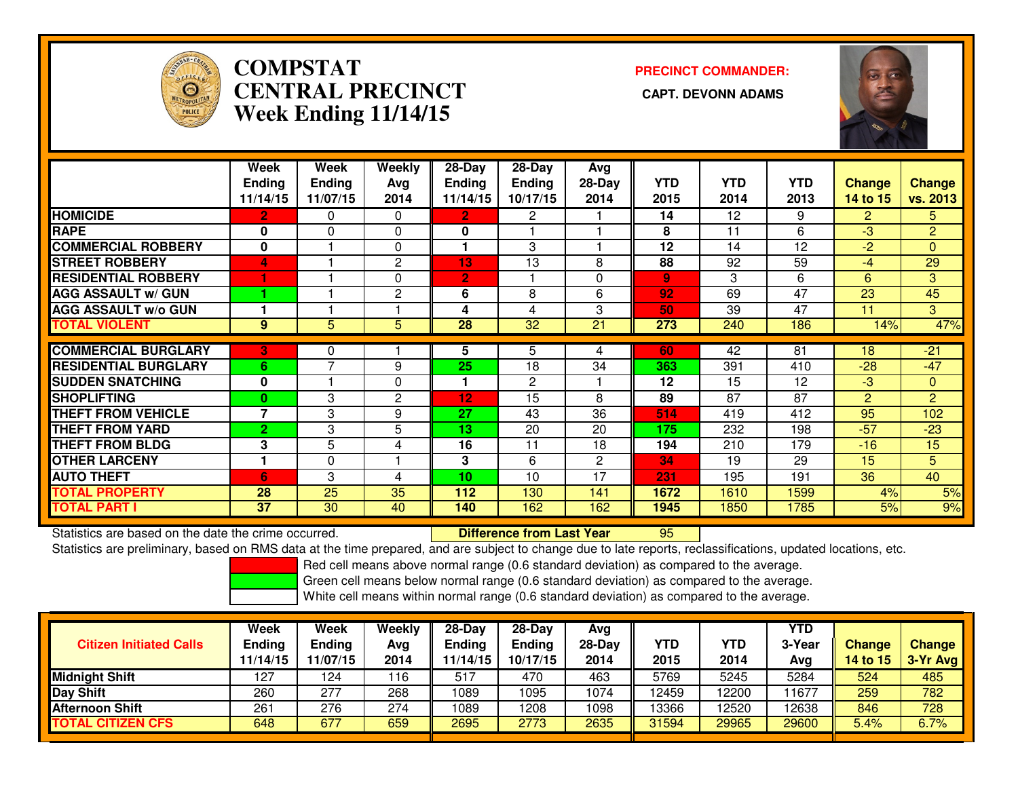

# **COMPSTATCENTRAL PRECINCT Week Ending 11/14/15**

**PRECINCT COMMANDER:**



|                              | Week           | Week           | Weekly         | 28-Day          | 28-Day          | Avg          |                |            |            |                |                |
|------------------------------|----------------|----------------|----------------|-----------------|-----------------|--------------|----------------|------------|------------|----------------|----------------|
|                              | <b>Ending</b>  | <b>Ending</b>  | Avg            | <b>Ending</b>   | <b>Ending</b>   | $28-Day$     | YTD.           | <b>YTD</b> | <b>YTD</b> | <b>Change</b>  | <b>Change</b>  |
|                              | 11/14/15       | 11/07/15       | 2014           | 11/14/15        | 10/17/15        | 2014         | 2015           | 2014       | 2013       | 14 to 15       | vs. 2013       |
| <b>HOMICIDE</b>              | $\overline{2}$ | 0              | $\Omega$       | $\mathbf{2}$    | $\overline{2}$  |              | 14             | 12         | 9          | $\overline{2}$ | 5.             |
| <b>RAPE</b>                  | 0              | $\Omega$       | $\Omega$       | 0               |                 |              | 8              | 11         | 6          | $-3$           | $\overline{2}$ |
| <b>COMMERCIAL ROBBERY</b>    | 0              |                | $\Omega$       | 1               | 3               |              | 12             | 14         | 12         | $-2$           | $\overline{0}$ |
| <b>STREET ROBBERY</b>        | 4              |                | 2              | 13              | 13              | 8            | 88             | 92         | 59         | $-4$           | 29             |
| <b>RESIDENTIAL ROBBERY</b>   | 1              |                | $\Omega$       | $\overline{2}$  |                 | 0            | $\overline{9}$ | 3          | 6          | 6              | 3              |
| <b>AGG ASSAULT w/ GUN</b>    |                |                | 2              | 6               | 8               | 6            | 92             | 69         | 47         | 23             | 45             |
| <b>AGG ASSAULT w/o GUN</b>   |                |                |                | 4               | 4               | 3            | 50             | 39         | 47         | 11             | 3              |
| <b>TOTAL VIOLENT</b>         | 9              | 5              | 5              | $\overline{28}$ | $\overline{32}$ | 21           | 273            | 240        | 186        | 14%            | 47%            |
| <b>COMMERCIAL BURGLARY</b>   | 3              | 0              |                | 5.              | 5               | 4            | 60             | 42         | 81         | 18             | $-21$          |
| <b>IRESIDENTIAL BURGLARY</b> | 6              | $\overline{7}$ | 9              | 25              | 18              | 34           | 363            | 391        | 410        | $-28$          | $-47$          |
|                              |                |                |                |                 |                 |              |                |            |            |                |                |
| <b>SUDDEN SNATCHING</b>      | 0              |                | $\Omega$       | 1               | 2               |              | 12             | 15         | 12         | $-3$           | $\overline{0}$ |
| <b>SHOPLIFTING</b>           | 0              | 3              | $\overline{2}$ | 12              | 15              | 8            | 89             | 87         | 87         | $\overline{2}$ | $\overline{2}$ |
| <b>THEFT FROM VEHICLE</b>    | $\overline{ }$ | 3              | 9              | 27              | 43              | 36           | 514            | 419        | 412        | 95             | 102            |
| <b>THEFT FROM YARD</b>       | $\overline{2}$ | 3              | 5              | 13              | 20              | 20           | 175            | 232        | 198        | $-57$          | $-23$          |
| <b>THEFT FROM BLDG</b>       | 3              | 5              | 4              | 16              | 11              | 18           | 194            | 210        | 179        | $-16$          | 15             |
| <b>OTHER LARCENY</b>         | 1              | $\Omega$       |                | 3               | 6               | $\mathbf{2}$ | 34             | 19         | 29         | 15             | 5              |
| <b>AUTO THEFT</b>            | 6              | 3              | 4              | 10              | 10              | 17           | 231            | 195        | 191        | 36             | 40             |
| <b>TOTAL PROPERTY</b>        | 28             | 25             | 35             | 112             | 130             | 141          | 1672           | 1610       | 1599       | 4%             | 5%             |
| <b>TOTAL PART I</b>          | 37             | 30             | 40             | 140             | 162             | 162          | 1945           | 1850       | 1785       | 5%             | 9%             |

Statistics are based on the date the crime occurred. **Difference from Last Year** 

Statistics are based on the date the crime occurred.<br>Statistics are preliminary, based on RMS data at the time prepared, and are subject to change due to late reports, reclassifications, updated locations, etc.

Red cell means above normal range (0.6 standard deviation) as compared to the average.

Green cell means below normal range (0.6 standard deviation) as compared to the average.

| <b>Citizen Initiated Calls</b> | Week<br><b>Ending</b><br>11/14/15 | Week<br>Ending<br>11/07/15 | Weekly<br>Avg<br>2014 | $28-Day$<br>Ending<br>1/14/15 | $28-Day$<br><b>Ending</b><br>10/17/15 | Ava<br>$28-Day$<br>2014 | YTD<br>2015 | <b>YTD</b><br>2014 | YTD<br>3-Year<br>Avg | <b>Change</b><br><b>14 to 15</b> | <b>Change</b><br>3-Yr Avg |
|--------------------------------|-----------------------------------|----------------------------|-----------------------|-------------------------------|---------------------------------------|-------------------------|-------------|--------------------|----------------------|----------------------------------|---------------------------|
| <b>Midnight Shift</b>          | 127                               | 124                        | 116                   | -517                          | 470                                   | 463                     | 5769        | 5245               | 5284                 | 524                              | 485                       |
| Day Shift                      | 260                               | 277                        | 268                   | 1089                          | 095                                   | 1074                    | 12459       | 2200               | 11677                | 259                              | 782                       |
| <b>Afternoon Shift</b>         | 261                               | 276                        | 274                   | 1089                          | 1208                                  | 1098                    | 13366       | 2520               | 12638                | 846                              | 728                       |
| <b>TOTAL CITIZEN CFS</b>       | 648                               | 677                        | 659                   | 2695                          | 2773                                  | 2635                    | 31594       | 29965              | 29600                | 5.4%                             | 6.7%                      |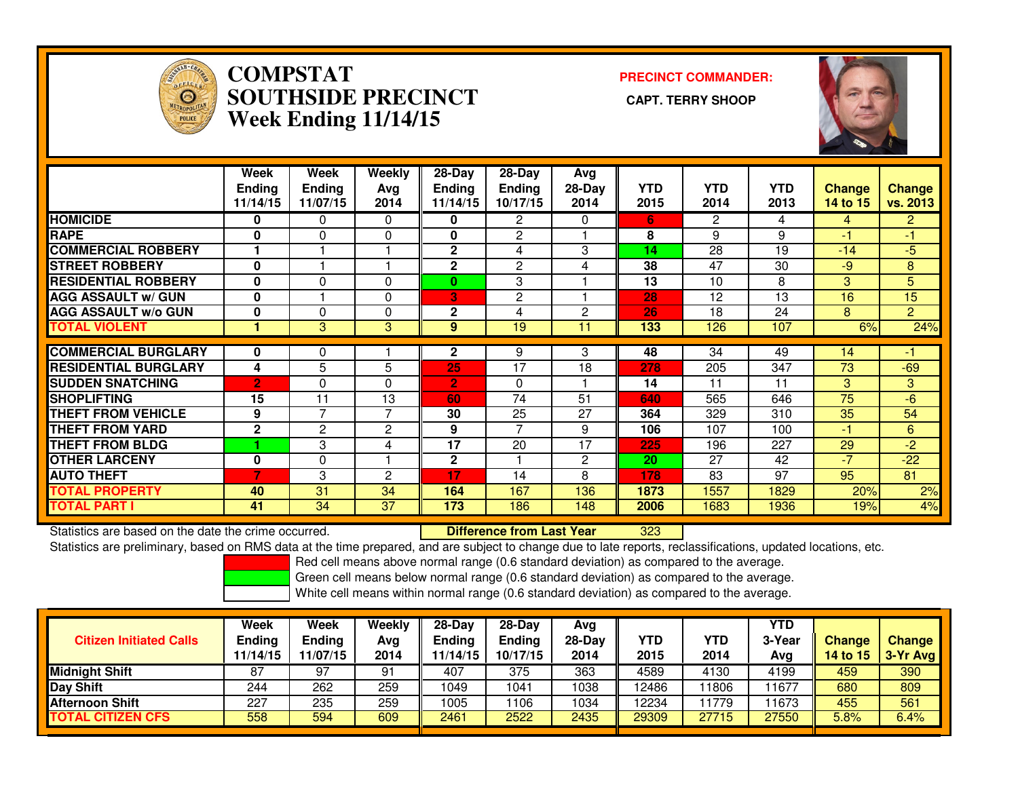

### **COMPSTAT PRECINCT COMMANDER: SOUTHSIDE PRECINCT CAPT. TERRY SHOOPWeek Ending 11/14/15**



|                             | Week<br><b>Ending</b><br>11/14/15 | Week<br><b>Ending</b><br>11/07/15 | Weekly<br>Avg<br>2014 | $28-Day$<br>Ending<br>11/14/15 | $28-Day$<br><b>Ending</b><br>10/17/15 | Avg<br>28-Day<br>2014 | <b>YTD</b><br>2015 | <b>YTD</b><br>2014 | <b>YTD</b><br>2013 | <b>Change</b><br>14 to 15 | <b>Change</b><br>vs. 2013 |
|-----------------------------|-----------------------------------|-----------------------------------|-----------------------|--------------------------------|---------------------------------------|-----------------------|--------------------|--------------------|--------------------|---------------------------|---------------------------|
| <b>HOMICIDE</b>             | 0                                 | 0                                 | 0                     | 0                              | 2                                     | 0                     | 6.                 | $\overline{2}$     | 4                  | 4                         | $\overline{2}$            |
| <b>RAPE</b>                 | 0                                 | 0                                 | 0                     | 0                              | 2                                     |                       | 8                  | 9                  | 9                  | -1                        | -1                        |
| <b>COMMERCIAL ROBBERY</b>   |                                   |                                   |                       | $\overline{2}$                 | 4                                     | 3                     | 14                 | 28                 | 19                 | $-14$                     | $-5$                      |
| <b>STREET ROBBERY</b>       | $\bf{0}$                          |                                   |                       | 2                              | 2                                     | 4                     | 38                 | 47                 | 30                 | $-9$                      | 8                         |
| <b>RESIDENTIAL ROBBERY</b>  | $\bf{0}$                          | $\Omega$                          | 0                     | 0                              | 3                                     |                       | 13                 | 10                 | 8                  | 3                         | 5                         |
| <b>AGG ASSAULT w/ GUN</b>   | $\mathbf 0$                       |                                   | 0                     | B                              | 2                                     |                       | 28                 | 12                 | 13                 | 16                        | 15                        |
| <b>AGG ASSAULT w/o GUN</b>  | $\mathbf 0$                       | $\Omega$                          | 0                     | $\overline{2}$                 | 4                                     | $\overline{c}$        | 26                 | 18                 | 24                 | 8                         | $\overline{2}$            |
| <b>TOTAL VIOLENT</b>        |                                   | 3                                 | 3                     | 9                              | 19                                    | 11                    | 133                | 126                | 107                | 6%                        | 24%                       |
|                             |                                   |                                   |                       |                                |                                       |                       |                    |                    |                    |                           |                           |
| <b>COMMERCIAL BURGLARY</b>  | 0                                 | 0                                 |                       | 2                              | 9                                     | 3                     | 48                 | 34                 | 49                 | 14                        | -1                        |
| <b>RESIDENTIAL BURGLARY</b> | 4                                 | 5                                 | 5                     | 25                             | 17                                    | 18                    | 278                | 205                | 347                | 73                        | $-69$                     |
| <b>ISUDDEN SNATCHING</b>    | $\overline{2}$                    | $\Omega$                          | 0                     | $\overline{2}$                 | $\Omega$                              |                       | 14                 | 11                 | 11                 | 3                         | 3                         |
| <b>ISHOPLIFTING</b>         | 15                                | 11                                | 13                    | 60                             | 74                                    | 51                    | 640                | 565                | 646                | 75                        | $-6$                      |
| <b>THEFT FROM VEHICLE</b>   | 9                                 | 7                                 | 7                     | 30                             | 25                                    | 27                    | 364                | 329                | 310                | 35                        | 54                        |
| <b>THEFT FROM YARD</b>      | $\mathbf{2}$                      | $\overline{c}$                    | $\overline{2}$        | 9                              | 7                                     | 9                     | 106                | 107                | 100                | -1                        | 6                         |
| <b>THEFT FROM BLDG</b>      |                                   | 3                                 | 4                     | $\overline{17}$                | 20                                    | 17                    | 225                | 196                | 227                | 29                        | $-2$                      |
| <b>OTHER LARCENY</b>        | 0                                 | 0                                 |                       | $\mathbf{2}$                   |                                       | $\overline{2}$        | 20                 | 27                 | 42                 | $-7$                      | $-22$                     |
| <b>AUTO THEFT</b>           | $\overline{7}$                    | 3                                 | 2                     | 17                             | 14                                    | 8                     | 178                | 83                 | 97                 | 95                        | 81                        |
| <b>TOTAL PROPERTY</b>       | 40                                | $\overline{31}$                   | 34                    | 164                            | 167                                   | 136                   | 1873               | 1557               | 1829               | 20%                       | 2%                        |
| <b>TOTAL PART I</b>         | 41                                | 34                                | 37                    | 173                            | 186                                   | 148                   | 2006               | 1683               | 1936               | 19%                       | 4%                        |

Statistics are based on the date the crime occurred. **Difference from Last Year** 

<sup>323</sup>

Statistics are preliminary, based on RMS data at the time prepared, and are subject to change due to late reports, reclassifications, updated locations, etc.

Red cell means above normal range (0.6 standard deviation) as compared to the average.

Green cell means below normal range (0.6 standard deviation) as compared to the average.

| <b>Citizen Initiated Calls</b> | Week<br><b>Ending</b><br>11/14/15 | <b>Week</b><br><b>Ending</b><br>11/07/15 | Weekly<br>Avg<br>2014 | $28-Dav$<br><b>Ending</b><br>11/14/15 | $28-Dav$<br><b>Ending</b><br>10/17/15 | Ava<br>28-Dav<br>2014 | YTD<br>2015 | YTD<br>2014 | <b>YTD</b><br>3-Year<br>Avg | <b>Change</b><br>14 to 15 | <b>Change</b><br>3-Yr Avg |
|--------------------------------|-----------------------------------|------------------------------------------|-----------------------|---------------------------------------|---------------------------------------|-----------------------|-------------|-------------|-----------------------------|---------------------------|---------------------------|
| <b>Midnight Shift</b>          | 87                                | 97                                       | 91                    | 407                                   | 375                                   | 363                   | 4589        | 4130        | 4199                        | 459                       | 390                       |
| <b>Day Shift</b>               | 244                               | 262                                      | 259                   | 1049                                  | 1041                                  | 1038                  | 12486       | 1806        | 11677                       | 680                       | 809                       |
| <b>Afternoon Shift</b>         | 227                               | 235                                      | 259                   | 1005                                  | 1106                                  | 1034                  | 12234       | 11779       | 11673                       | 455                       | 561                       |
| <b>TOTAL CITIZEN CFS</b>       | 558                               | 594                                      | 609                   | 2461                                  | 2522                                  | 2435                  | 29309       | 27715       | 27550                       | 5.8%                      | 6.4%                      |